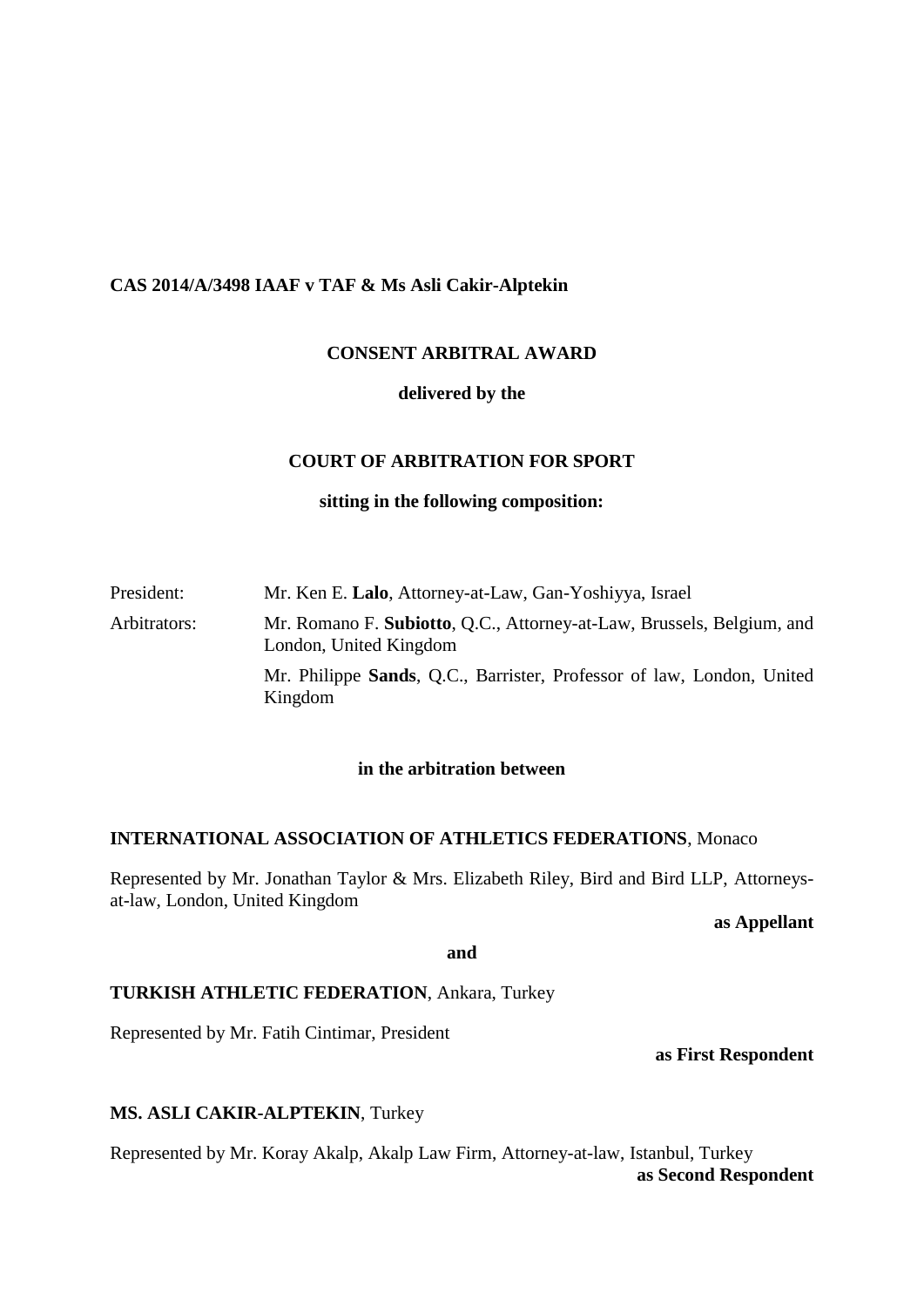#### **CAS 2014/A/3498 IAAF v TAF & Ms Asli Cakir-Alptekin**

## **CONSENT ARBITRAL AWARD**

#### **delivered by the**

#### **COURT OF ARBITRATION FOR SPORT**

#### **sitting in the following composition:**

## President: Mr. Ken E. **Lalo**, Attorney-at-Law, Gan-Yoshiyya, Israel Arbitrators: Mr. Romano F. **Subiotto**, Q.C., Attorney-at-Law, Brussels, Belgium, and London, United Kingdom Mr. Philippe **Sands**, Q.C., Barrister, Professor of law, London, United Kingdom

## **in the arbitration between**

#### **INTERNATIONAL ASSOCIATION OF ATHLETICS FEDERATIONS**, Monaco

Represented by Mr. Jonathan Taylor & Mrs. Elizabeth Riley, Bird and Bird LLP, Attorneysat-law, London, United Kingdom

#### **as Appellant**

**and**

## **TURKISH ATHLETIC FEDERATION**, Ankara, Turkey

Represented by Mr. Fatih Cintimar, President

**as First Respondent**

## **MS. ASLI CAKIR-ALPTEKIN**, Turkey

Represented by Mr. Koray Akalp, Akalp Law Firm, Attorney-at-law, Istanbul, Turkey **as Second Respondent**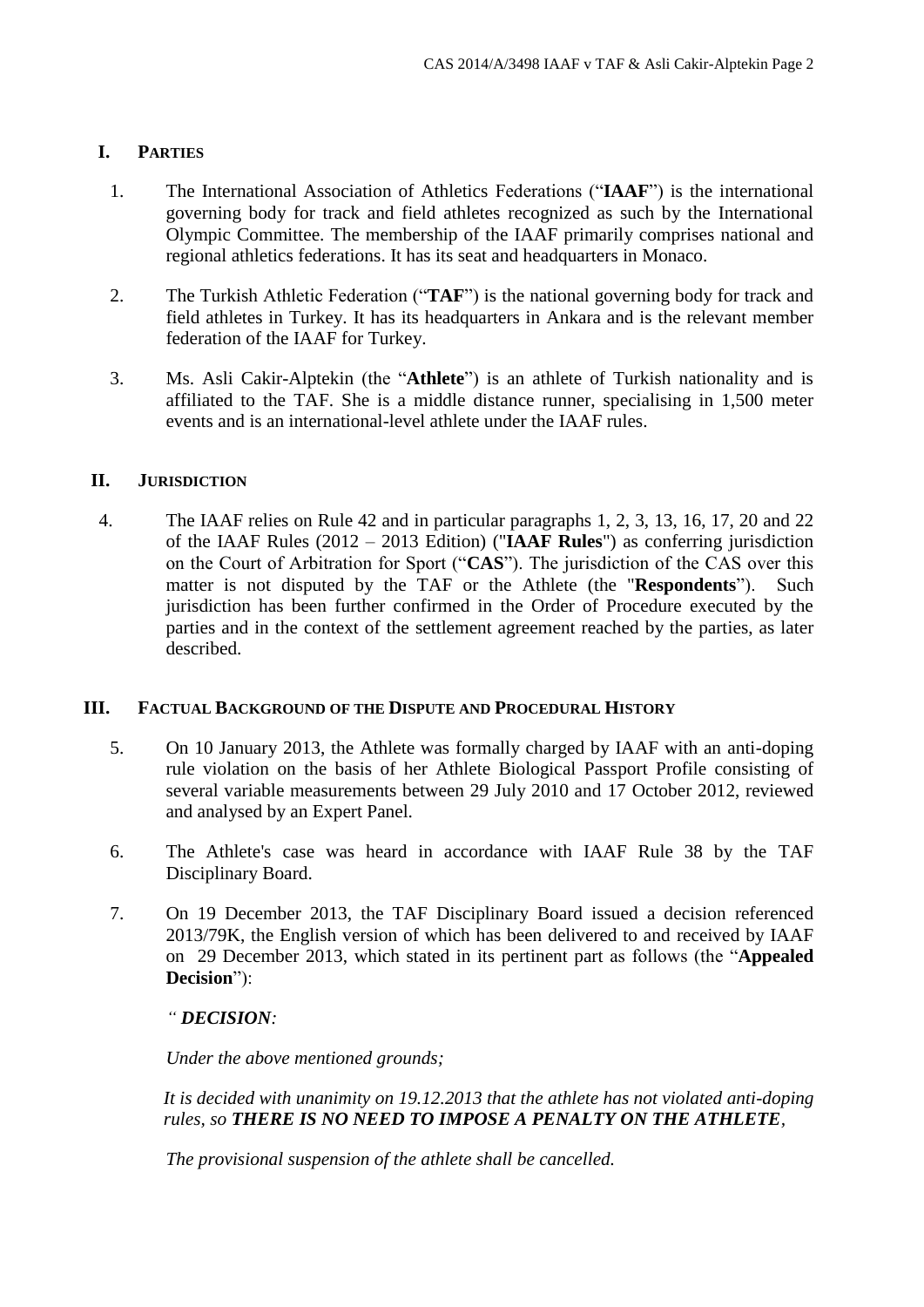## **I. PARTIES**

- 1. The International Association of Athletics Federations ("**IAAF**") is the international governing body for track and field athletes recognized as such by the International Olympic Committee. The membership of the IAAF primarily comprises national and regional athletics federations. It has its seat and headquarters in Monaco.
- 2. The Turkish Athletic Federation ("**TAF**") is the national governing body for track and field athletes in Turkey. It has its headquarters in Ankara and is the relevant member federation of the IAAF for Turkey.
- 3. Ms. Asli Cakir-Alptekin (the "**Athlete**") is an athlete of Turkish nationality and is affiliated to the TAF. She is a middle distance runner, specialising in 1,500 meter events and is an international-level athlete under the IAAF rules.

## **II. JURISDICTION**

4. The IAAF relies on Rule 42 and in particular paragraphs 1, 2, 3, 13, 16, 17, 20 and 22 of the IAAF Rules (2012 – 2013 Edition) ("**IAAF Rules**") as conferring jurisdiction on the Court of Arbitration for Sport ("**CAS**"). The jurisdiction of the CAS over this matter is not disputed by the TAF or the Athlete (the "**Respondents**"). Such jurisdiction has been further confirmed in the Order of Procedure executed by the parties and in the context of the settlement agreement reached by the parties, as later described.

## **III. FACTUAL BACKGROUND OF THE DISPUTE AND PROCEDURAL HISTORY**

- 5. On 10 January 2013, the Athlete was formally charged by IAAF with an anti-doping rule violation on the basis of her Athlete Biological Passport Profile consisting of several variable measurements between 29 July 2010 and 17 October 2012, reviewed and analysed by an Expert Panel.
- 6. The Athlete's case was heard in accordance with IAAF Rule 38 by the TAF Disciplinary Board.
- 7. On 19 December 2013, the TAF Disciplinary Board issued a decision referenced 2013/79K, the English version of which has been delivered to and received by IAAF on 29 December 2013, which stated in its pertinent part as follows (the "**Appealed Decision**"):

## *" DECISION:*

*Under the above mentioned grounds;*

*It is decided with unanimity on 19.12.2013 that the athlete has not violated anti-doping rules, so THERE IS NO NEED TO IMPOSE A PENALTY ON THE ATHLETE,*

*The provisional suspension of the athlete shall be cancelled.*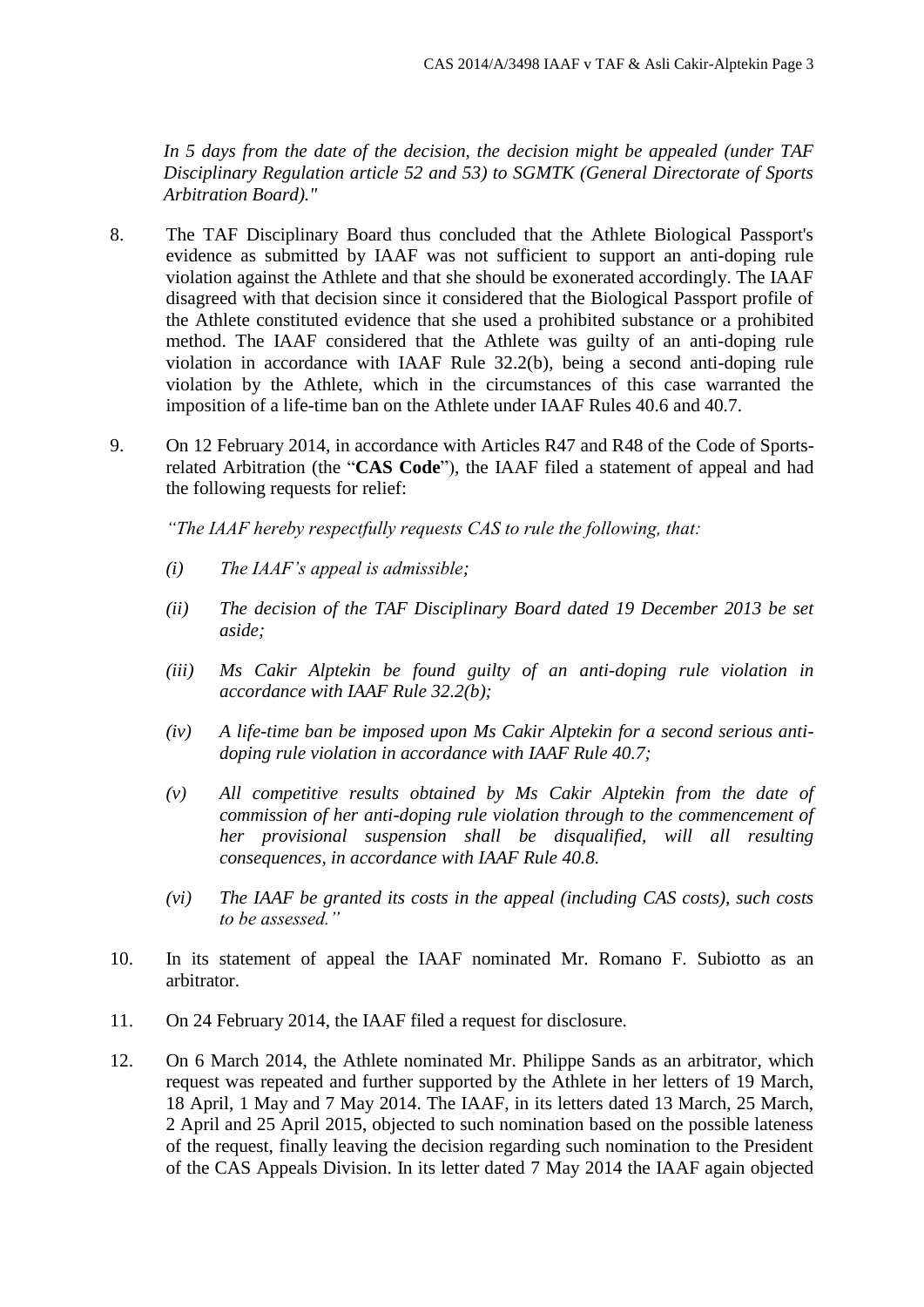*In 5 days from the date of the decision, the decision might be appealed (under TAF Disciplinary Regulation article 52 and 53) to SGMTK (General Directorate of Sports Arbitration Board)."*

- 8. The TAF Disciplinary Board thus concluded that the Athlete Biological Passport's evidence as submitted by IAAF was not sufficient to support an anti-doping rule violation against the Athlete and that she should be exonerated accordingly. The IAAF disagreed with that decision since it considered that the Biological Passport profile of the Athlete constituted evidence that she used a prohibited substance or a prohibited method. The IAAF considered that the Athlete was guilty of an anti-doping rule violation in accordance with IAAF Rule 32.2(b), being a second anti-doping rule violation by the Athlete, which in the circumstances of this case warranted the imposition of a life-time ban on the Athlete under IAAF Rules 40.6 and 40.7.
- 9. On 12 February 2014, in accordance with Articles R47 and R48 of the Code of Sportsrelated Arbitration (the "**CAS Code**"), the IAAF filed a statement of appeal and had the following requests for relief:

*"The IAAF hereby respectfully requests CAS to rule the following, that:*

- *(i) The IAAF's appeal is admissible;*
- *(ii) The decision of the TAF Disciplinary Board dated 19 December 2013 be set aside;*
- *(iii) Ms Cakir Alptekin be found guilty of an anti-doping rule violation in accordance with IAAF Rule 32.2(b);*
- *(iv) A life-time ban be imposed upon Ms Cakir Alptekin for a second serious antidoping rule violation in accordance with IAAF Rule 40.7;*
- *(v) All competitive results obtained by Ms Cakir Alptekin from the date of commission of her anti-doping rule violation through to the commencement of her provisional suspension shall be disqualified, will all resulting consequences, in accordance with IAAF Rule 40.8.*
- *(vi) The IAAF be granted its costs in the appeal (including CAS costs), such costs to be assessed."*
- 10. In its statement of appeal the IAAF nominated Mr. Romano F. Subiotto as an arbitrator.
- 11. On 24 February 2014, the IAAF filed a request for disclosure.
- 12. On 6 March 2014, the Athlete nominated Mr. Philippe Sands as an arbitrator, which request was repeated and further supported by the Athlete in her letters of 19 March, 18 April, 1 May and 7 May 2014. The IAAF, in its letters dated 13 March, 25 March, 2 April and 25 April 2015, objected to such nomination based on the possible lateness of the request, finally leaving the decision regarding such nomination to the President of the CAS Appeals Division. In its letter dated 7 May 2014 the IAAF again objected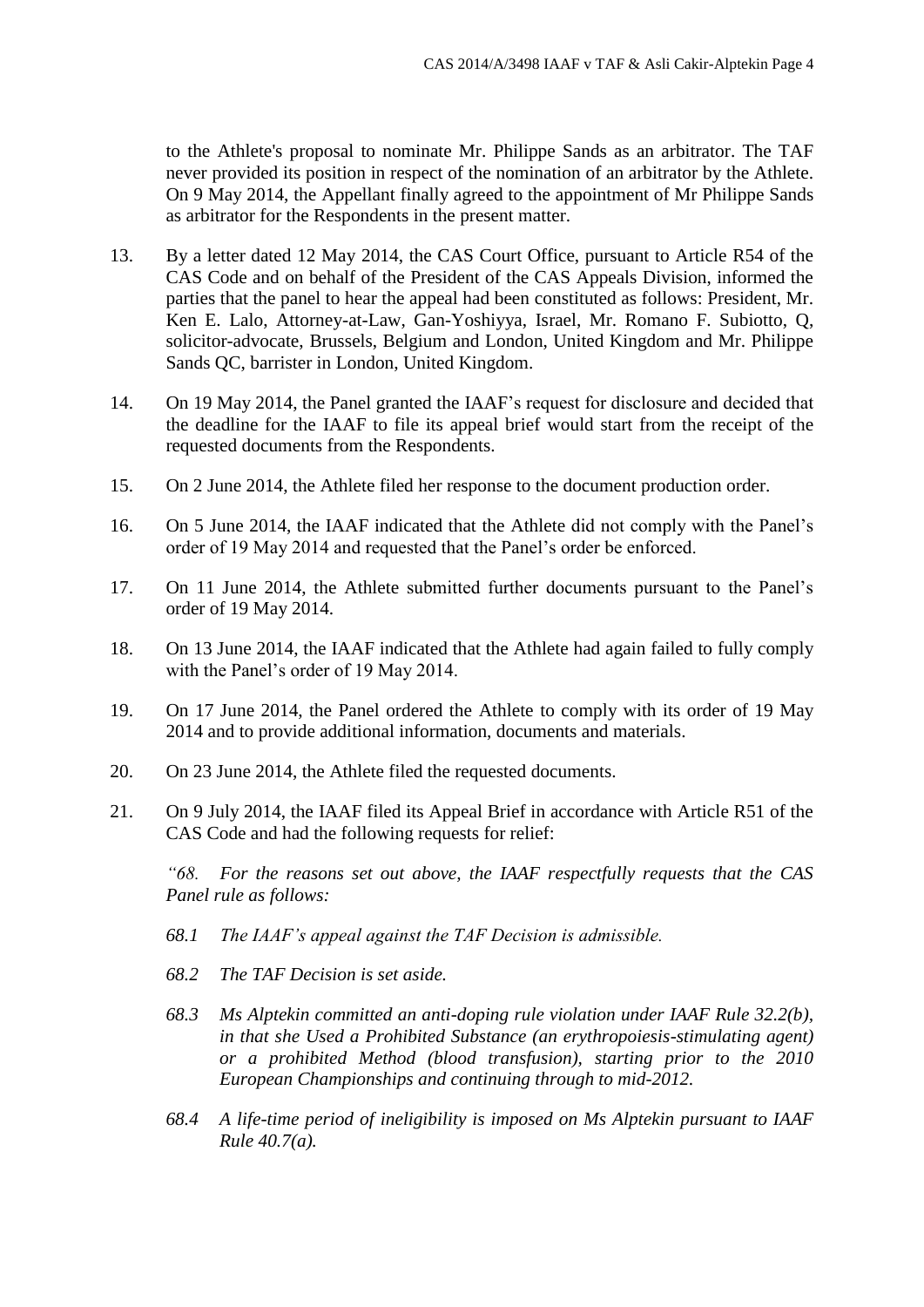to the Athlete's proposal to nominate Mr. Philippe Sands as an arbitrator. The TAF never provided its position in respect of the nomination of an arbitrator by the Athlete. On 9 May 2014, the Appellant finally agreed to the appointment of Mr Philippe Sands as arbitrator for the Respondents in the present matter.

- 13. By a letter dated 12 May 2014, the CAS Court Office, pursuant to Article R54 of the CAS Code and on behalf of the President of the CAS Appeals Division, informed the parties that the panel to hear the appeal had been constituted as follows: President, Mr. Ken E. Lalo, Attorney-at-Law, Gan-Yoshiyya, Israel, Mr. Romano F. Subiotto, Q, solicitor-advocate, Brussels, Belgium and London, United Kingdom and Mr. Philippe Sands QC, barrister in London, United Kingdom.
- 14. On 19 May 2014, the Panel granted the IAAF's request for disclosure and decided that the deadline for the IAAF to file its appeal brief would start from the receipt of the requested documents from the Respondents.
- 15. On 2 June 2014, the Athlete filed her response to the document production order.
- 16. On 5 June 2014, the IAAF indicated that the Athlete did not comply with the Panel's order of 19 May 2014 and requested that the Panel's order be enforced.
- 17. On 11 June 2014, the Athlete submitted further documents pursuant to the Panel's order of 19 May 2014.
- 18. On 13 June 2014, the IAAF indicated that the Athlete had again failed to fully comply with the Panel's order of 19 May 2014.
- 19. On 17 June 2014, the Panel ordered the Athlete to comply with its order of 19 May 2014 and to provide additional information, documents and materials.
- 20. On 23 June 2014, the Athlete filed the requested documents.
- 21. On 9 July 2014, the IAAF filed its Appeal Brief in accordance with Article R51 of the CAS Code and had the following requests for relief:

*"68. For the reasons set out above, the IAAF respectfully requests that the CAS Panel rule as follows:*

- *68.1 The IAAF's appeal against the TAF Decision is admissible.*
- *68.2 The TAF Decision is set aside.*
- *68.3 Ms Alptekin committed an anti-doping rule violation under IAAF Rule 32.2(b), in that she Used a Prohibited Substance (an erythropoiesis-stimulating agent) or a prohibited Method (blood transfusion), starting prior to the 2010 European Championships and continuing through to mid-2012.*
- *68.4 A life-time period of ineligibility is imposed on Ms Alptekin pursuant to IAAF Rule 40.7(a).*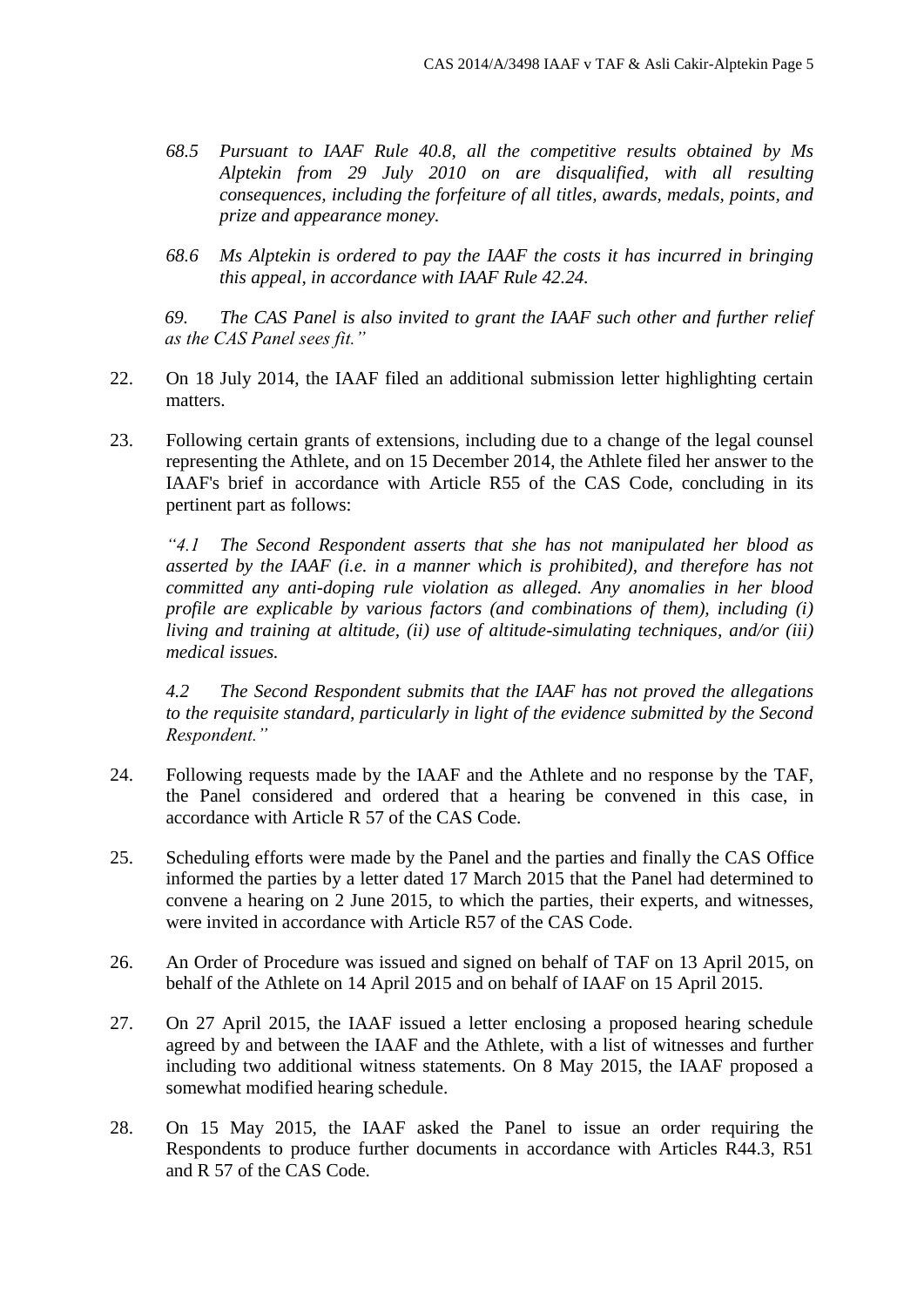- *68.5 Pursuant to IAAF Rule 40.8, all the competitive results obtained by Ms Alptekin from 29 July 2010 on are disqualified, with all resulting consequences, including the forfeiture of all titles, awards, medals, points, and prize and appearance money.*
- *68.6 Ms Alptekin is ordered to pay the IAAF the costs it has incurred in bringing this appeal, in accordance with IAAF Rule 42.24.*

*69. The CAS Panel is also invited to grant the IAAF such other and further relief as the CAS Panel sees fit."*

- 22. On 18 July 2014, the IAAF filed an additional submission letter highlighting certain matters.
- 23. Following certain grants of extensions, including due to a change of the legal counsel representing the Athlete, and on 15 December 2014, the Athlete filed her answer to the IAAF's brief in accordance with Article R55 of the CAS Code, concluding in its pertinent part as follows:

*"4.1 The Second Respondent asserts that she has not manipulated her blood as asserted by the IAAF (i.e. in a manner which is prohibited), and therefore has not committed any anti-doping rule violation as alleged. Any anomalies in her blood profile are explicable by various factors (and combinations of them), including (i) living and training at altitude, (ii) use of altitude-simulating techniques, and/or (iii) medical issues.*

*4.2 The Second Respondent submits that the IAAF has not proved the allegations to the requisite standard, particularly in light of the evidence submitted by the Second Respondent."*

- 24. Following requests made by the IAAF and the Athlete and no response by the TAF, the Panel considered and ordered that a hearing be convened in this case, in accordance with Article R 57 of the CAS Code.
- 25. Scheduling efforts were made by the Panel and the parties and finally the CAS Office informed the parties by a letter dated 17 March 2015 that the Panel had determined to convene a hearing on 2 June 2015, to which the parties, their experts, and witnesses, were invited in accordance with Article R57 of the CAS Code.
- 26. An Order of Procedure was issued and signed on behalf of TAF on 13 April 2015, on behalf of the Athlete on 14 April 2015 and on behalf of IAAF on 15 April 2015.
- 27. On 27 April 2015, the IAAF issued a letter enclosing a proposed hearing schedule agreed by and between the IAAF and the Athlete, with a list of witnesses and further including two additional witness statements. On 8 May 2015, the IAAF proposed a somewhat modified hearing schedule.
- 28. On 15 May 2015, the IAAF asked the Panel to issue an order requiring the Respondents to produce further documents in accordance with Articles R44.3, R51 and R 57 of the CAS Code.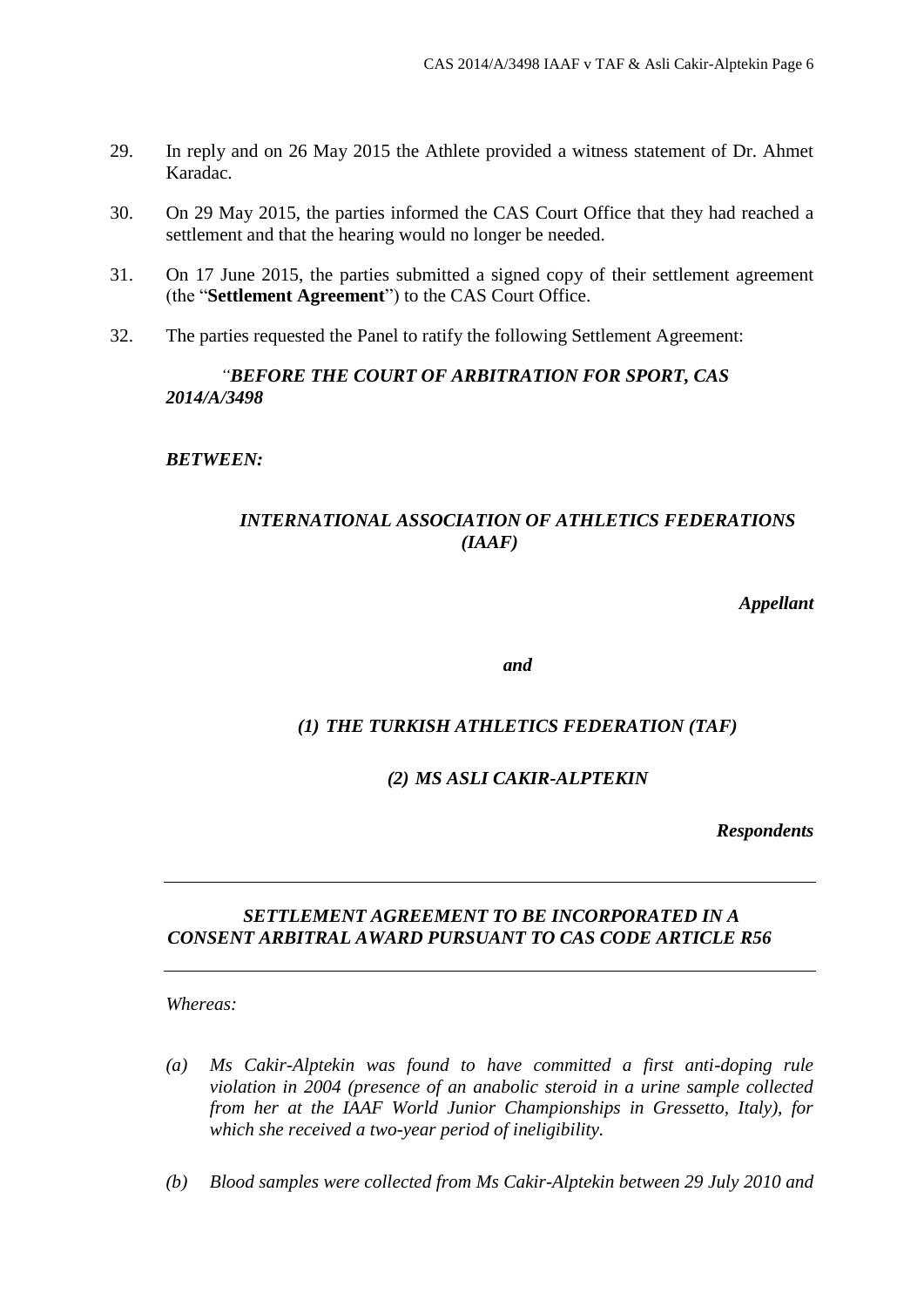- 29. In reply and on 26 May 2015 the Athlete provided a witness statement of Dr. Ahmet Karadac.
- 30. On 29 May 2015, the parties informed the CAS Court Office that they had reached a settlement and that the hearing would no longer be needed.
- 31. On 17 June 2015, the parties submitted a signed copy of their settlement agreement (the "**Settlement Agreement**") to the CAS Court Office.
- 32. The parties requested the Panel to ratify the following Settlement Agreement:

## *"BEFORE THE COURT OF ARBITRATION FOR SPORT, CAS 2014/A/3498*

*BETWEEN:*

## *INTERNATIONAL ASSOCIATION OF ATHLETICS FEDERATIONS (IAAF)*

*Appellant*

*and*

## *(1) THE TURKISH ATHLETICS FEDERATION (TAF)*

## *(2) MS ASLI CAKIR-ALPTEKIN*

*Respondents*

## *SETTLEMENT AGREEMENT TO BE INCORPORATED IN A CONSENT ARBITRAL AWARD PURSUANT TO CAS CODE ARTICLE R56*

*Whereas:*

- *(a) Ms Cakir-Alptekin was found to have committed a first anti-doping rule violation in 2004 (presence of an anabolic steroid in a urine sample collected from her at the IAAF World Junior Championships in Gressetto, Italy), for which she received a two-year period of ineligibility.*
- *(b) Blood samples were collected from Ms Cakir-Alptekin between 29 July 2010 and*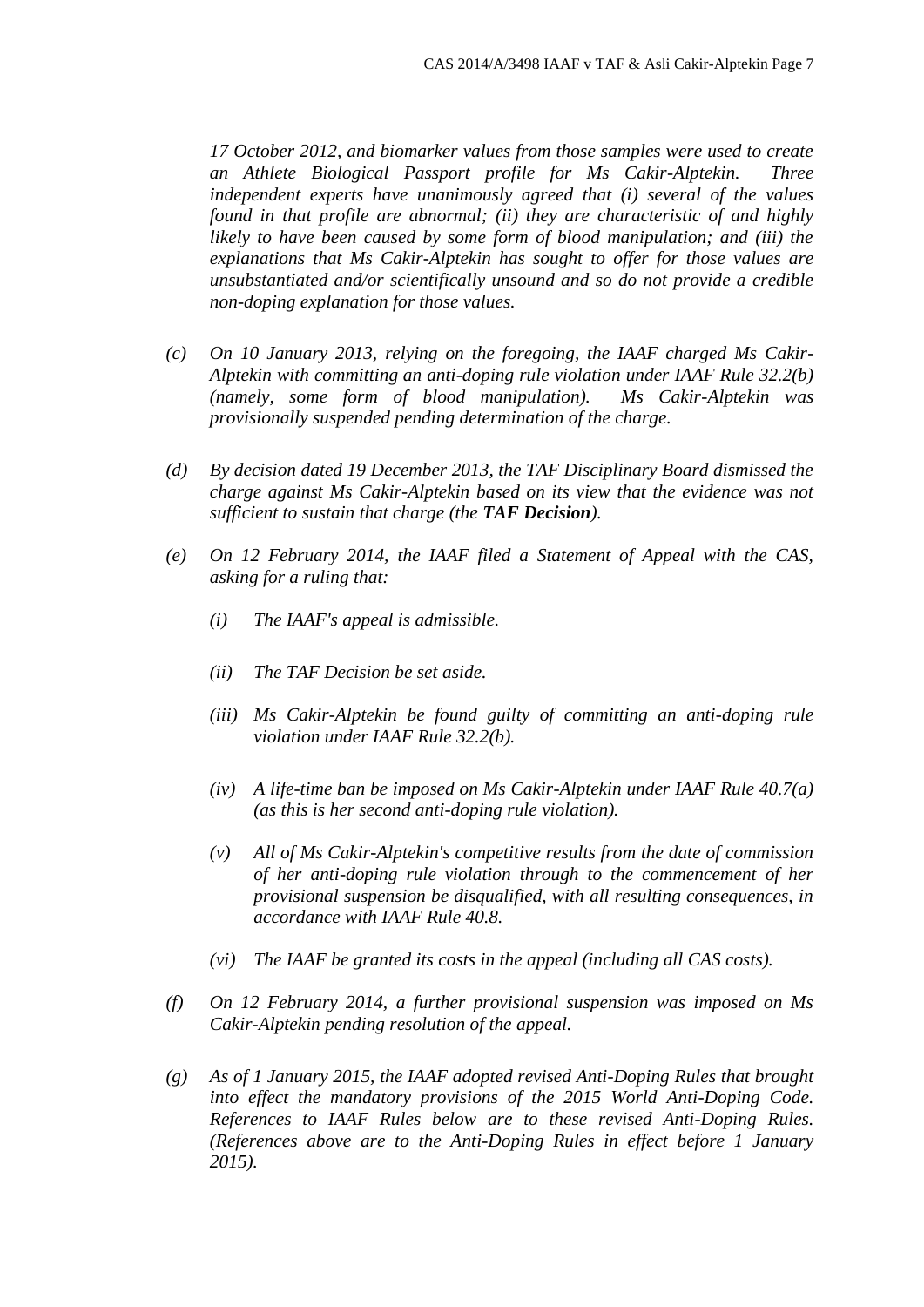*17 October 2012, and biomarker values from those samples were used to create an Athlete Biological Passport profile for Ms Cakir-Alptekin. Three independent experts have unanimously agreed that (i) several of the values found in that profile are abnormal; (ii) they are characteristic of and highly likely to have been caused by some form of blood manipulation; and (iii) the explanations that Ms Cakir-Alptekin has sought to offer for those values are unsubstantiated and/or scientifically unsound and so do not provide a credible non-doping explanation for those values.*

- *(c) On 10 January 2013, relying on the foregoing, the IAAF charged Ms Cakir-Alptekin with committing an anti-doping rule violation under IAAF Rule 32.2(b) (namely, some form of blood manipulation). Ms Cakir-Alptekin was provisionally suspended pending determination of the charge.*
- *(d) By decision dated 19 December 2013, the TAF Disciplinary Board dismissed the charge against Ms Cakir-Alptekin based on its view that the evidence was not sufficient to sustain that charge (the TAF Decision).*
- *(e) On 12 February 2014, the IAAF filed a Statement of Appeal with the CAS, asking for a ruling that:*
	- *(i) The IAAF's appeal is admissible.*
	- *(ii) The TAF Decision be set aside.*
	- *(iii) Ms Cakir-Alptekin be found guilty of committing an anti-doping rule violation under IAAF Rule 32.2(b).*
	- *(iv) A life-time ban be imposed on Ms Cakir-Alptekin under IAAF Rule 40.7(a) (as this is her second anti-doping rule violation).*
	- *(v) All of Ms Cakir-Alptekin's competitive results from the date of commission of her anti-doping rule violation through to the commencement of her provisional suspension be disqualified, with all resulting consequences, in accordance with IAAF Rule 40.8.*
	- *(vi) The IAAF be granted its costs in the appeal (including all CAS costs).*
- *(f) On 12 February 2014, a further provisional suspension was imposed on Ms Cakir-Alptekin pending resolution of the appeal.*
- *(g) As of 1 January 2015, the IAAF adopted revised Anti-Doping Rules that brought into effect the mandatory provisions of the 2015 World Anti-Doping Code. References to IAAF Rules below are to these revised Anti-Doping Rules. (References above are to the Anti-Doping Rules in effect before 1 January 2015).*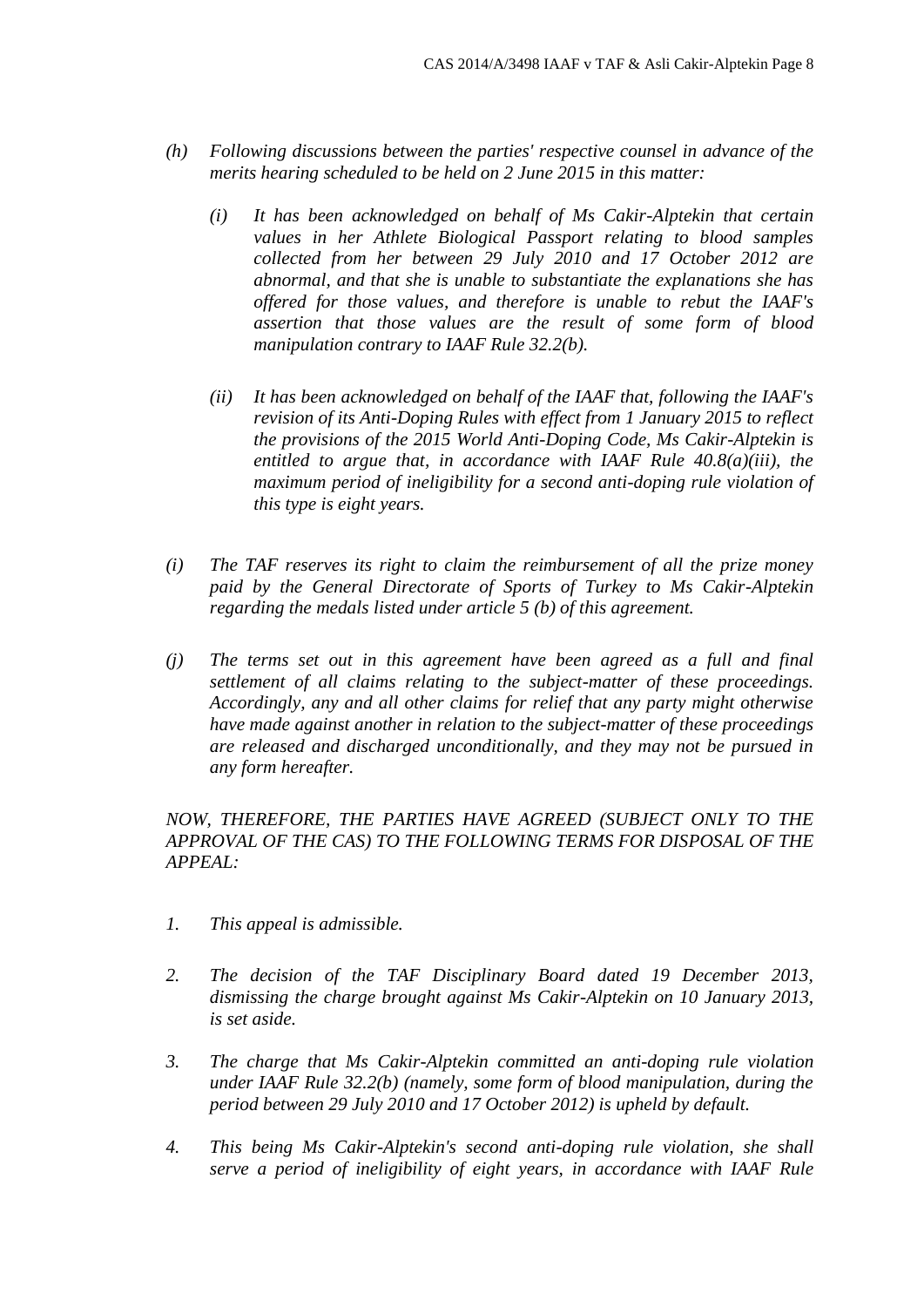- *(h) Following discussions between the parties' respective counsel in advance of the merits hearing scheduled to be held on 2 June 2015 in this matter:*
	- *(i) It has been acknowledged on behalf of Ms Cakir-Alptekin that certain values in her Athlete Biological Passport relating to blood samples collected from her between 29 July 2010 and 17 October 2012 are abnormal, and that she is unable to substantiate the explanations she has offered for those values, and therefore is unable to rebut the IAAF's assertion that those values are the result of some form of blood manipulation contrary to IAAF Rule 32.2(b).*
	- *(ii) It has been acknowledged on behalf of the IAAF that, following the IAAF's revision of its Anti-Doping Rules with effect from 1 January 2015 to reflect the provisions of the 2015 World Anti-Doping Code, Ms Cakir-Alptekin is entitled to argue that, in accordance with IAAF Rule 40.8(a)(iii), the maximum period of ineligibility for a second anti-doping rule violation of this type is eight years.*
- *(i) The TAF reserves its right to claim the reimbursement of all the prize money paid by the General Directorate of Sports of Turkey to Ms Cakir-Alptekin regarding the medals listed under article 5 (b) of this agreement.*
- *(j) The terms set out in this agreement have been agreed as a full and final settlement of all claims relating to the subject-matter of these proceedings. Accordingly, any and all other claims for relief that any party might otherwise have made against another in relation to the subject-matter of these proceedings are released and discharged unconditionally, and they may not be pursued in any form hereafter.*

*NOW, THEREFORE, THE PARTIES HAVE AGREED (SUBJECT ONLY TO THE APPROVAL OF THE CAS) TO THE FOLLOWING TERMS FOR DISPOSAL OF THE APPEAL:* 

- *1. This appeal is admissible.*
- *2. The decision of the TAF Disciplinary Board dated 19 December 2013, dismissing the charge brought against Ms Cakir-Alptekin on 10 January 2013, is set aside.*
- *3. The charge that Ms Cakir-Alptekin committed an anti-doping rule violation under IAAF Rule 32.2(b) (namely, some form of blood manipulation, during the period between 29 July 2010 and 17 October 2012) is upheld by default.*
- *4. This being Ms Cakir-Alptekin's second anti-doping rule violation, she shall serve a period of ineligibility of eight years, in accordance with IAAF Rule*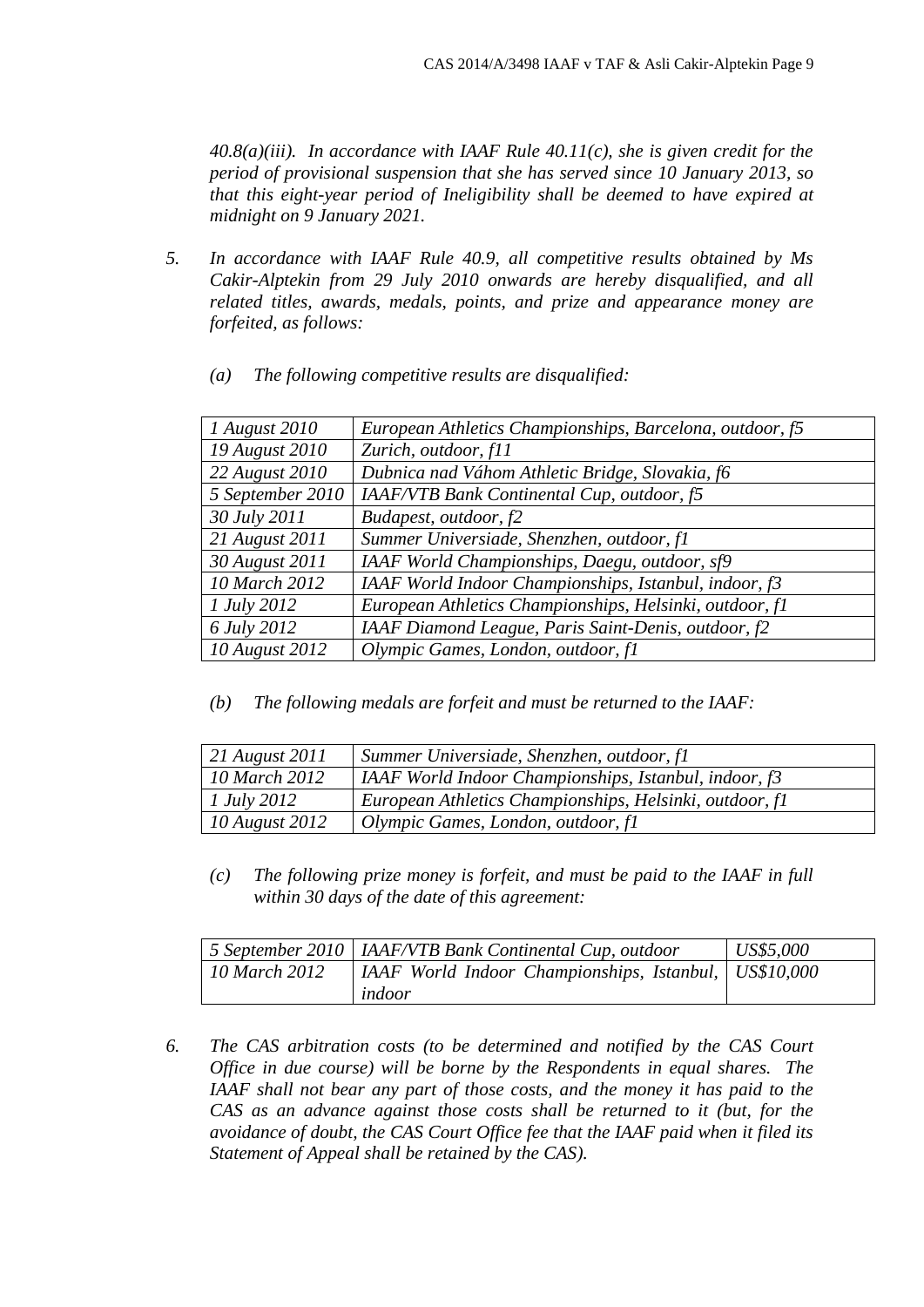*40.8(a)(iii). In accordance with IAAF Rule 40.11(c), she is given credit for the period of provisional suspension that she has served since 10 January 2013, so that this eight-year period of Ineligibility shall be deemed to have expired at midnight on 9 January 2021.* 

*5. In accordance with IAAF Rule 40.9, all competitive results obtained by Ms Cakir-Alptekin from 29 July 2010 onwards are hereby disqualified, and all related titles, awards, medals, points, and prize and appearance money are forfeited, as follows:* 

| (a) | The following competitive results are disqualified: |  |  |  |
|-----|-----------------------------------------------------|--|--|--|
|-----|-----------------------------------------------------|--|--|--|

| 1 August 2010    | European Athletics Championships, Barcelona, outdoor, f5 |
|------------------|----------------------------------------------------------|
| 19 August 2010   | Zurich, outdoor, f11                                     |
| 22 August 2010   | Dubnica nad Váhom Athletic Bridge, Slovakia, f6          |
| 5 September 2010 | IAAF/VTB Bank Continental Cup, outdoor, f5               |
| 30 July 2011     | Budapest, outdoor, f2                                    |
| 21 August 2011   | Summer Universiade, Shenzhen, outdoor, fl                |
| 30 August 2011   | IAAF World Championships, Daegu, outdoor, sf9            |
| 10 March 2012    | IAAF World Indoor Championships, Istanbul, indoor, f3    |
| 1 July 2012      | European Athletics Championships, Helsinki, outdoor, fl  |
| 6 July 2012      | IAAF Diamond League, Paris Saint-Denis, outdoor, f2      |
| 10 August 2012   | Olympic Games, London, outdoor, fl                       |
|                  |                                                          |

*(b) The following medals are forfeit and must be returned to the IAAF:*

| 21 August 2011 | Summer Universiade, Shenzhen, outdoor, fl               |
|----------------|---------------------------------------------------------|
| 10 March 2012  | IAAF World Indoor Championships, Istanbul, indoor, $f3$ |
| 1 July 2012    | European Athletics Championships, Helsinki, outdoor, fl |
| 10 August 2012 | Olympic Games, London, outdoor, fl                      |

*(c) The following prize money is forfeit, and must be paid to the IAAF in full within 30 days of the date of this agreement:*

|               | 5 September 2010   IAAF/VTB Bank Continental Cup, outdoor | $\mid$ US\$5,000 |
|---------------|-----------------------------------------------------------|------------------|
| 10 March 2012 | IAAF World Indoor Championships, Istanbul,   US\$10,000   |                  |
|               | indoor                                                    |                  |

*6. The CAS arbitration costs (to be determined and notified by the CAS Court Office in due course) will be borne by the Respondents in equal shares. The IAAF shall not bear any part of those costs, and the money it has paid to the CAS as an advance against those costs shall be returned to it (but, for the avoidance of doubt, the CAS Court Office fee that the IAAF paid when it filed its Statement of Appeal shall be retained by the CAS).*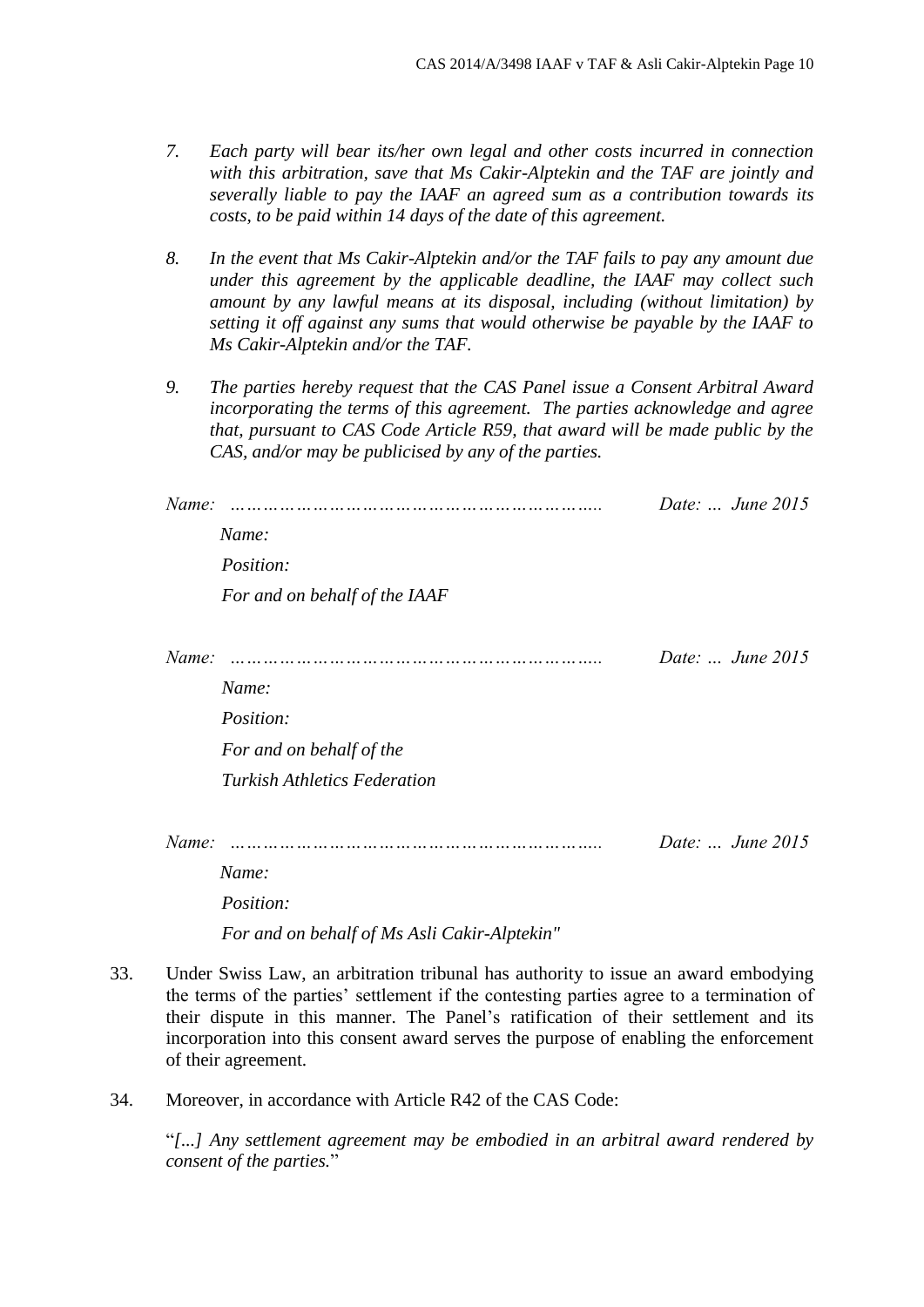- *7. Each party will bear its/her own legal and other costs incurred in connection with this arbitration, save that Ms Cakir-Alptekin and the TAF are jointly and severally liable to pay the IAAF an agreed sum as a contribution towards its costs, to be paid within 14 days of the date of this agreement.*
- *8. In the event that Ms Cakir-Alptekin and/or the TAF fails to pay any amount due under this agreement by the applicable deadline, the IAAF may collect such amount by any lawful means at its disposal, including (without limitation) by setting it off against any sums that would otherwise be payable by the IAAF to Ms Cakir-Alptekin and/or the TAF.*
- *9. The parties hereby request that the CAS Panel issue a Consent Arbitral Award incorporating the terms of this agreement. The parties acknowledge and agree that, pursuant to CAS Code Article R59, that award will be made public by the CAS, and/or may be publicised by any of the parties.*

| Name: |                                              | Date:  June 2015 |
|-------|----------------------------------------------|------------------|
|       | Name:                                        |                  |
|       | Position:                                    |                  |
|       | For and on behalf of the IAAF                |                  |
| Name: |                                              | Date:  June 2015 |
|       | Name:                                        |                  |
|       | Position:                                    |                  |
|       | For and on behalf of the                     |                  |
|       | <b>Turkish Athletics Federation</b>          |                  |
| Name: |                                              | Date:  June 2015 |
|       | Name:                                        |                  |
|       | Position:                                    |                  |
|       | For and on behalf of Ms Asli Cakir-Alptekin" |                  |

- 33. Under Swiss Law, an arbitration tribunal has authority to issue an award embodying the terms of the parties' settlement if the contesting parties agree to a termination of their dispute in this manner. The Panel's ratification of their settlement and its incorporation into this consent award serves the purpose of enabling the enforcement of their agreement.
- 34. Moreover, in accordance with Article R42 of the CAS Code:

"*[...] Any settlement agreement may be embodied in an arbitral award rendered by consent of the parties.*"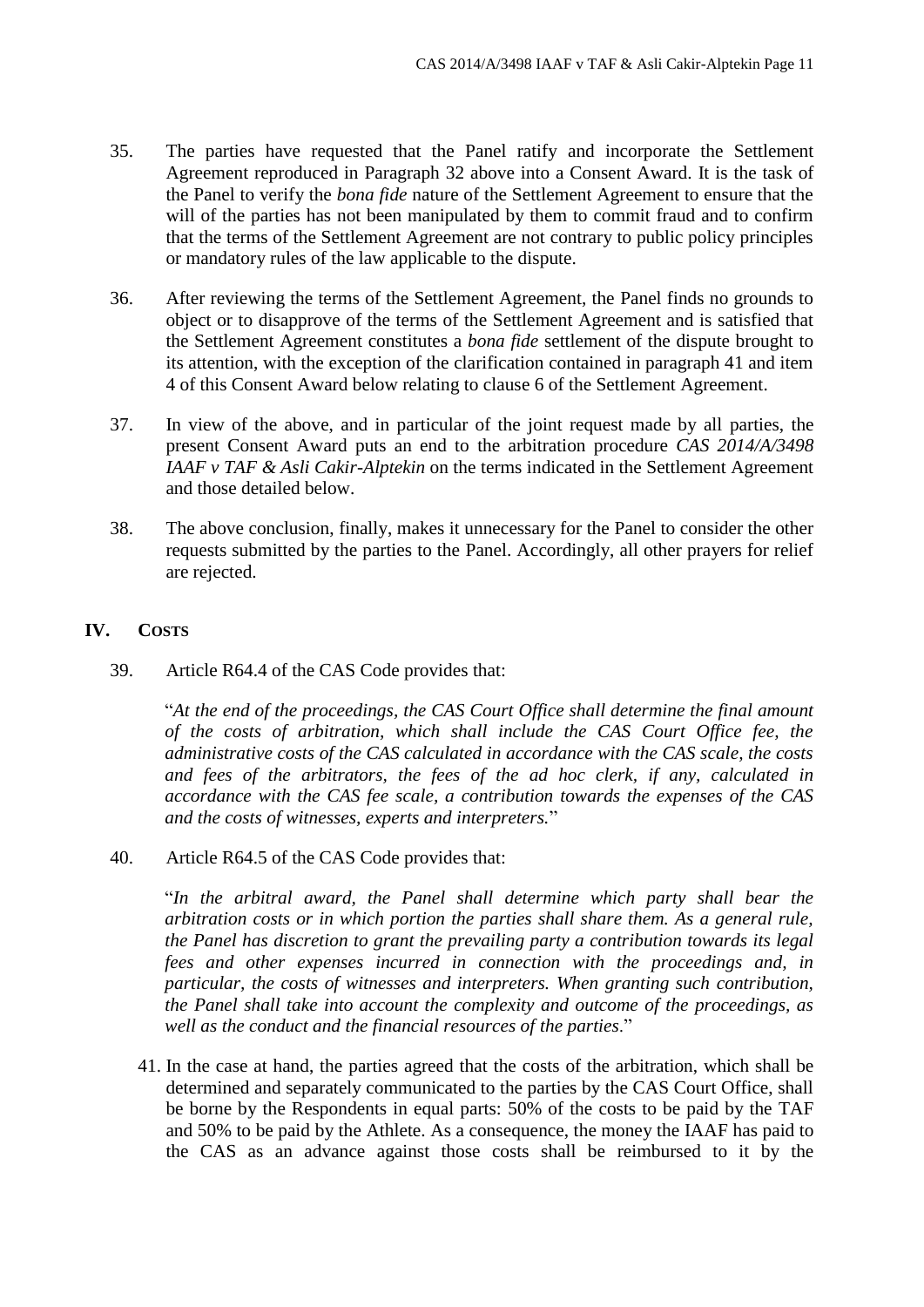- 35. The parties have requested that the Panel ratify and incorporate the Settlement Agreement reproduced in Paragraph 32 above into a Consent Award. It is the task of the Panel to verify the *bona fide* nature of the Settlement Agreement to ensure that the will of the parties has not been manipulated by them to commit fraud and to confirm that the terms of the Settlement Agreement are not contrary to public policy principles or mandatory rules of the law applicable to the dispute.
- 36. After reviewing the terms of the Settlement Agreement, the Panel finds no grounds to object or to disapprove of the terms of the Settlement Agreement and is satisfied that the Settlement Agreement constitutes a *bona fide* settlement of the dispute brought to its attention, with the exception of the clarification contained in paragraph 41 and item 4 of this Consent Award below relating to clause 6 of the Settlement Agreement.
- 37. In view of the above, and in particular of the joint request made by all parties, the present Consent Award puts an end to the arbitration procedure *CAS 2014/A/3498 IAAF v TAF & Asli Cakir-Alptekin* on the terms indicated in the Settlement Agreement and those detailed below.
- 38. The above conclusion, finally, makes it unnecessary for the Panel to consider the other requests submitted by the parties to the Panel. Accordingly, all other prayers for relief are rejected.

## **IV. COSTS**

39. Article R64.4 of the CAS Code provides that:

"*At the end of the proceedings, the CAS Court Office shall determine the final amount of the costs of arbitration, which shall include the CAS Court Office fee, the administrative costs of the CAS calculated in accordance with the CAS scale, the costs and fees of the arbitrators, the fees of the ad hoc clerk, if any, calculated in accordance with the CAS fee scale, a contribution towards the expenses of the CAS and the costs of witnesses, experts and interpreters.*"

40. Article R64.5 of the CAS Code provides that:

"*In the arbitral award, the Panel shall determine which party shall bear the arbitration costs or in which portion the parties shall share them. As a general rule, the Panel has discretion to grant the prevailing party a contribution towards its legal fees and other expenses incurred in connection with the proceedings and, in particular, the costs of witnesses and interpreters. When granting such contribution, the Panel shall take into account the complexity and outcome of the proceedings, as well as the conduct and the financial resources of the parties*."

41. In the case at hand, the parties agreed that the costs of the arbitration, which shall be determined and separately communicated to the parties by the CAS Court Office, shall be borne by the Respondents in equal parts: 50% of the costs to be paid by the TAF and 50% to be paid by the Athlete. As a consequence, the money the IAAF has paid to the CAS as an advance against those costs shall be reimbursed to it by the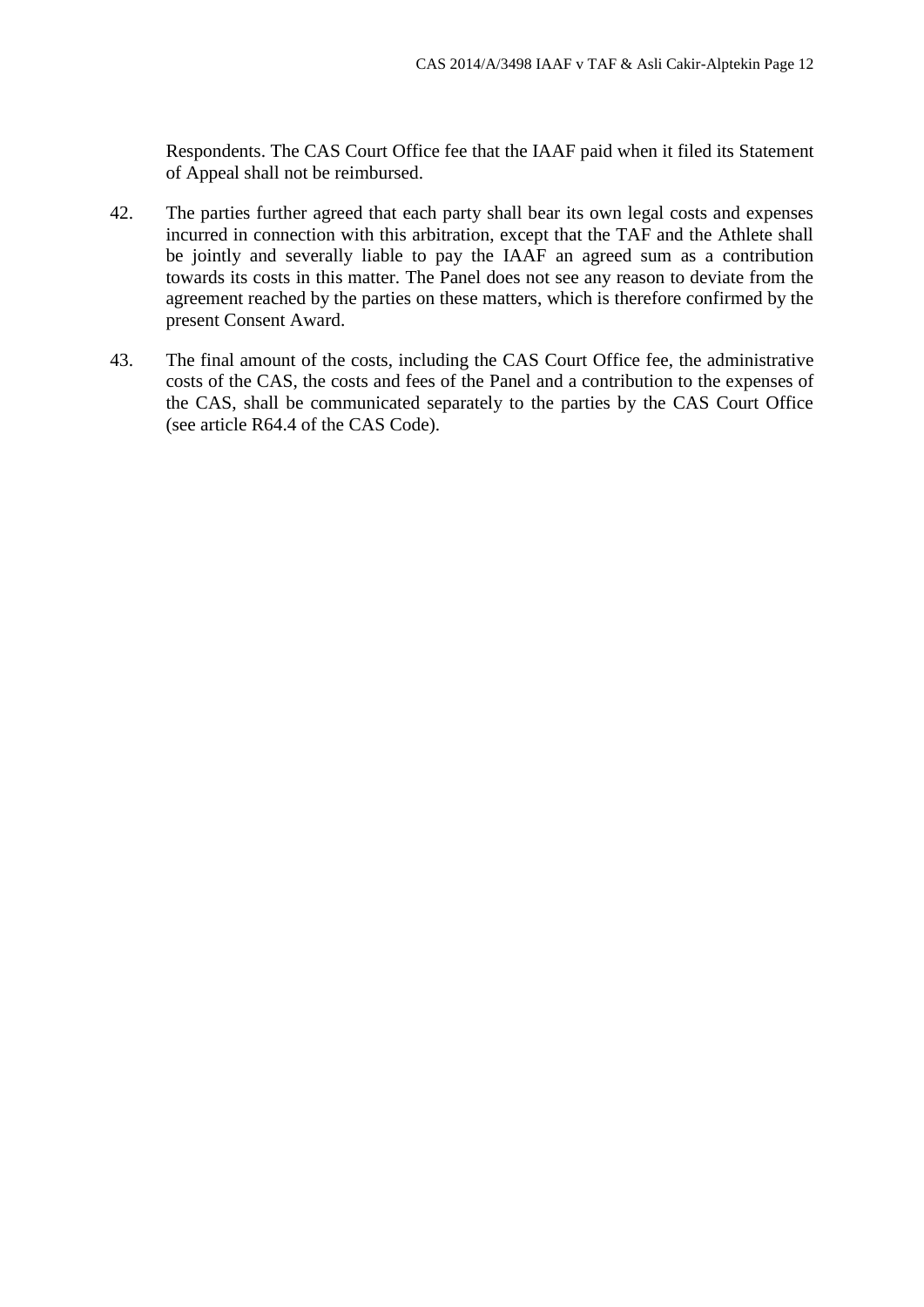Respondents. The CAS Court Office fee that the IAAF paid when it filed its Statement of Appeal shall not be reimbursed.

- 42. The parties further agreed that each party shall bear its own legal costs and expenses incurred in connection with this arbitration, except that the TAF and the Athlete shall be jointly and severally liable to pay the IAAF an agreed sum as a contribution towards its costs in this matter. The Panel does not see any reason to deviate from the agreement reached by the parties on these matters, which is therefore confirmed by the present Consent Award.
- 43. The final amount of the costs, including the CAS Court Office fee, the administrative costs of the CAS, the costs and fees of the Panel and a contribution to the expenses of the CAS, shall be communicated separately to the parties by the CAS Court Office (see article R64.4 of the CAS Code).